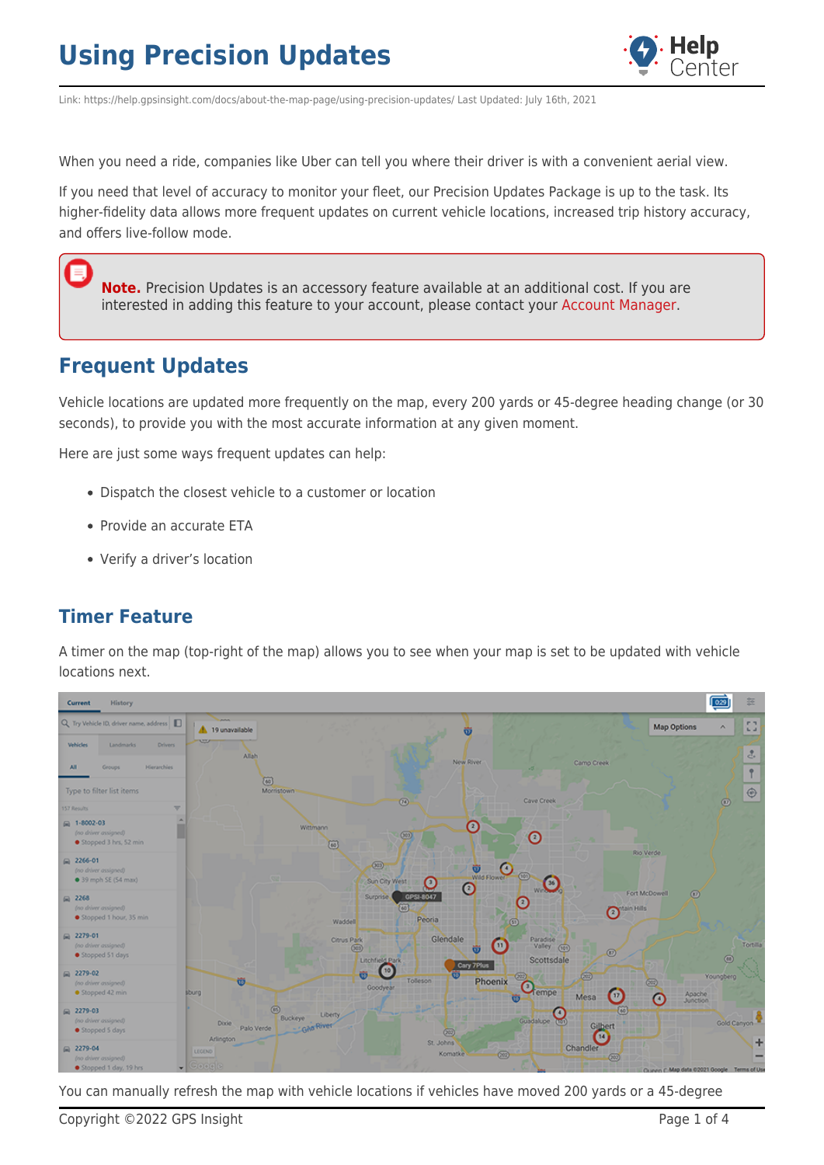

Link: https://help.gpsinsight.com/docs/about-the-map-page/using-precision-updates/ Last Updated: July 16th, 2021

When you need a ride, companies like Uber can tell you where their driver is with a convenient aerial view.

If you need that level of accuracy to monitor your fleet, our Precision Updates Package is up to the task. Its higher-fidelity data allows more frequent updates on current vehicle locations, increased trip history accuracy, and offers live-follow mode.

**Note.** Precision Updates is an accessory feature available at an additional cost. If you are interested in adding this feature to your account, please contact your [Account Manager.](https://help.gpsinsight.com/contact/)

## **Frequent Updates**

Ξ

Vehicle locations are updated more frequently on the map, every 200 yards or 45-degree heading change (or 30 seconds), to provide you with the most accurate information at any given moment.

Here are just some ways frequent updates can help:

- Dispatch the closest vehicle to a customer or location
- Provide an accurate ETA
- Verify a driver's location

### **Timer Feature**

A timer on the map (top-right of the map) allows you to see when your map is set to be updated with vehicle locations next.



You can manually refresh the map with vehicle locations if vehicles have moved 200 yards or a 45-degree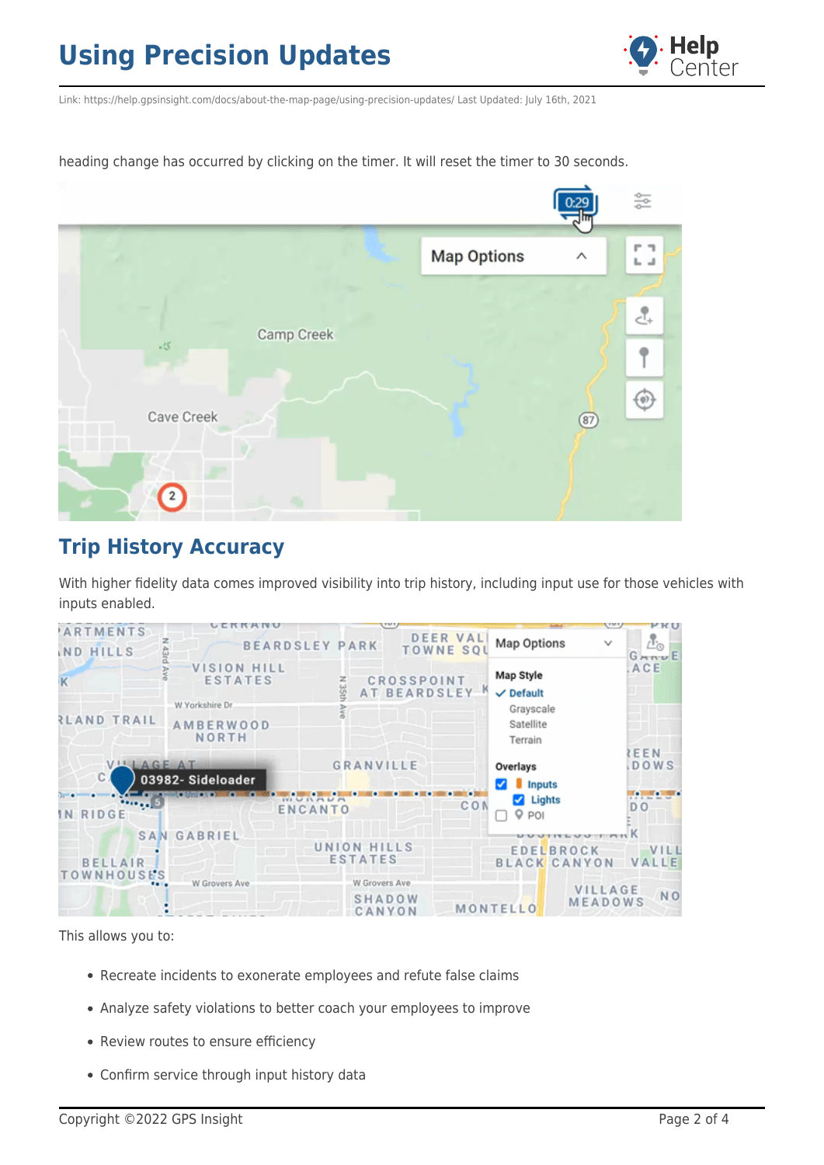

Link: https://help.gpsinsight.com/docs/about-the-map-page/using-precision-updates/ Last Updated: July 16th, 2021

heading change has occurred by clicking on the timer. It will reset the timer to 30 seconds.



## **Trip History Accuracy**

With higher fidelity data comes improved visibility into trip history, including input use for those vehicles with inputs enabled.

| ARTMENTS                     | UERRANU                                                                              |                       | 1011                                                        |  |                                                                                               | Canal,              | PRU                                     |
|------------------------------|--------------------------------------------------------------------------------------|-----------------------|-------------------------------------------------------------|--|-----------------------------------------------------------------------------------------------|---------------------|-----------------------------------------|
| ND HILLS                     | z                                                                                    | <b>BEARDSLEY PARK</b> | <b>DEER VAL</b><br><b>TOWNE SQI</b>                         |  | Map Options                                                                                   | $\checkmark$        | i.<br>$G_{NNU}E$                        |
| <b>RLAND TRAIL</b>           | <b>VISION HILL</b><br><b>ESTATES</b><br>W.Yorkshire Dr.<br><b>AMBERWOOD</b><br>NORTH | N 351                 | <b>CROSSPOINT</b><br>AT BEARDSLEY <sup>K</sup><br>GRANVILLE |  | Map Style<br>$\vee$ Default<br>Grayscale<br>Satellite<br>Terrain<br>Overlays<br><b>Inputs</b> |                     | ACE<br>EEN<br><b>DOWS</b>               |
| VILLAGE AT<br>$\mathbb{C}$ . | 03982- Sideloader                                                                    |                       |                                                             |  |                                                                                               |                     |                                         |
| $\cdot \cdot$ .<br>IN RIDGE  |                                                                                      |                       | CON<br><b>ENCANTO</b>                                       |  | $\blacksquare$ Lights<br>Q POI                                                                |                     | $\bullet$ . The state<br>D <sub>O</sub> |
| <b>SAN GABRIEL</b>           |                                                                                      | UNION HILLS           |                                                             |  | <b>EDELBROCK</b><br>VILL                                                                      |                     |                                         |
| <b>BELLAIR</b><br>TOWNHOUSES |                                                                                      | <b>ESTATES</b>        |                                                             |  |                                                                                               | <b>BLACK CANYON</b> | VALLE                                   |
| $\cdots$                     | W Grovers Ave                                                                        |                       | W Grovers Ave<br>SHADOW<br>CANYON                           |  | VILLAGE<br>MEADOWS<br>MONTELLO                                                                |                     | NO <sub>1</sub>                         |

This allows you to:

- Recreate incidents to exonerate employees and refute false claims
- Analyze safety violations to better coach your employees to improve
- Review routes to ensure efficiency
- Confirm service through input history data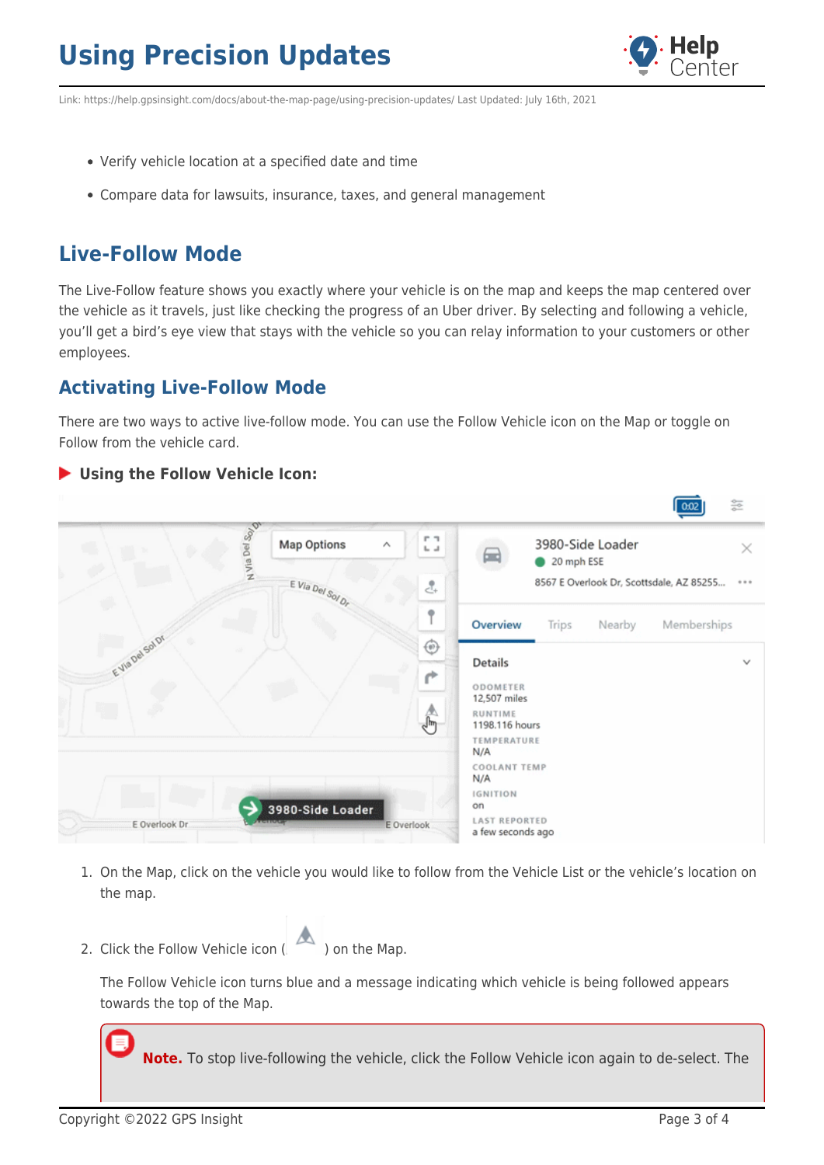

Link: https://help.gpsinsight.com/docs/about-the-map-page/using-precision-updates/ Last Updated: July 16th, 2021

- Verify vehicle location at a specified date and time
- Compare data for lawsuits, insurance, taxes, and general management

## **Live-Follow Mode**

The Live-Follow feature shows you exactly where your vehicle is on the map and keeps the map centered over the vehicle as it travels, just like checking the progress of an Uber driver. By selecting and following a vehicle, you'll get a bird's eye view that stays with the vehicle so you can relay information to your customers or other employees.

## **Activating Live-Follow Mode**

There are two ways to active live-follow mode. You can use the Follow Vehicle icon on the Map or toggle on Follow from the vehicle card.

#### **Using the Follow Vehicle Icon:** 쯢 om So<sub>i</sub> **Map Options** 3980-Side Loader Del i i  $\checkmark$ ⋒ Via<sup>1</sup> 20 mph ESE E Via Del Sol Dr 8567 E Overlook Dr, Scottsdale, AZ 85255... 훉 Ť Overview Trips Nearby Memberships ⊕ **Details** ODOMETER 12,507 miles RUNTIME 1198.116 hours TEMPERATURE  $N/A$ COOLANT TEMP  $N/A$ **IGNITION** on 3980-Side Loader **LAST REPORTED** E Overlook Dr E Overlook a few seconds ago

- 1. On the Map, click on the vehicle you would like to follow from the Vehicle List or the vehicle's location on the map.
- 2. Click the Follow Vehicle icon  $\left(\begin{array}{c} 1 & 0 \\ 0 & 0 \end{array}\right)$  on the Map.



The Follow Vehicle icon turns blue and a message indicating which vehicle is being followed appears towards the top of the Map.